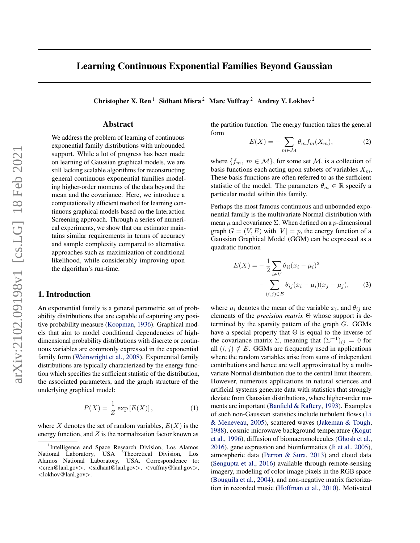# <span id="page-0-0"></span>Learning Continuous Exponential Families Beyond Gaussian

Christopher X. Ren<sup>1</sup> Sidhant Misra<sup>2</sup> Marc Vuffray<sup>2</sup> Andrey Y. Lokhov<sup>2</sup>

# Abstract

We address the problem of learning of continuous exponential family distributions with unbounded support. While a lot of progress has been made on learning of Gaussian graphical models, we are still lacking scalable algorithms for reconstructing general continuous exponential families modeling higher-order moments of the data beyond the mean and the covariance. Here, we introduce a computationally efficient method for learning continuous graphical models based on the Interaction Screening approach. Through a series of numerical experiments, we show that our estimator maintains similar requirements in terms of accuracy and sample complexity compared to alternative approaches such as maximization of conditional likelihood, while considerably improving upon the algorithm's run-time.

## 1. Introduction

An exponential family is a general parametric set of probability distributions that are capable of capturing any positive probability measure [\(Koopman,](#page-8-0) [1936\)](#page-8-0). Graphical models that aim to model conditional dependencies of highdimensional probability distributions with discrete or continuous variables are commonly expressed in the exponential family form [\(Wainwright et al.,](#page-9-0) [2008\)](#page-9-0). Exponential family distributions are typically characterized by the energy function which specifies the sufficient statistic of the distribution, the associated parameters, and the graph structure of the underlying graphical model:

$$
P(X) = \frac{1}{Z} \exp\left[E(X)\right],\tag{1}
$$

where X denotes the set of random variables,  $E(X)$  is the energy function, and  $Z$  is the normalization factor known as the partition function. The energy function takes the general form

$$
E(X) = -\sum_{m \in \mathcal{M}} \theta_m f_m(X_m), \tag{2}
$$

where  $\{f_m, m \in \mathcal{M}\}\$ , for some set  $\mathcal{M}$ , is a collection of basis functions each acting upon subsets of variables  $X_m$ . These basis functions are often referred to as the sufficient statistic of the model. The parameters  $\theta_m \in \mathbb{R}$  specify a particular model within this family.

Perhaps the most famous continuous and unbounded exponential family is the multivariate Normal distribution with mean  $\mu$  and covariance  $\Sigma$ . When defined on a p-dimensional graph  $G = (V, E)$  with  $|V| = p$ , the energy function of a Gaussian Graphical Model (GGM) can be expressed as a quadratic function

$$
E(X) = -\frac{1}{2} \sum_{i \in V} \theta_{ii} (x_i - \mu_i)^2
$$
  
- 
$$
\sum_{(i,j) \in E} \theta_{ij} (x_i - \mu_i) (x_j - \mu_j),
$$
 (3)

where  $\mu_i$  denotes the mean of the variable  $x_i$ , and  $\theta_{ij}$  are elements of the *precision matrix* Θ whose support is determined by the sparsity pattern of the graph G. GGMs have a special property that  $\Theta$  is equal to the inverse of the covariance matrix  $\Sigma$ , meaning that  $(\Sigma^{-1})_{ij} = 0$  for all  $(i, j) \notin E$ . GGMs are frequently used in applications where the random variables arise from sums of independent contributions and hence are well approximated by a multivariate Normal distribution due to the central limit theorem. However, numerous applications in natural sciences and artificial systems generate data with statistics that strongly deviate from Gaussian distributions, where higher-order moments are important [\(Banfield & Raftery,](#page-8-0) [1993\)](#page-8-0). Examples of such non-Gaussian statistics include turbulent flows [\(Li](#page-8-0) [& Meneveau,](#page-8-0) [2005\)](#page-8-0), scattered waves [\(Jakeman & Tough,](#page-8-0) [1988\)](#page-8-0), cosmic microwave background temperature [\(Kogut](#page-8-0) [et al.,](#page-8-0) [1996\)](#page-8-0), diffusion of biomacromolecules [\(Ghosh et al.,](#page-8-0) [2016\)](#page-8-0), gene expression and bioinformatics [\(Ji et al.,](#page-8-0) [2005\)](#page-8-0), atmospheric data [\(Perron & Sura,](#page-9-0) [2013\)](#page-9-0) and cloud data [\(Sengupta et al.,](#page-9-0) [2016\)](#page-9-0) available through remote-sensing imagery, modeling of color image pixels in the RGB space [\(Bouguila et al.,](#page-8-0) [2004\)](#page-8-0), and non-negative matrix factorization in recorded music [\(Hoffman et al.,](#page-8-0) [2010\)](#page-8-0). Motivated

<sup>&</sup>lt;sup>1</sup>Intelligence and Space Research Division, Los Alamos National Laboratory, USA <sup>2</sup>Theoretical Division, Los Alamos National Laboratory, USA. Correspondence to: <cren@lanl.gov>, <sidhant@lanl.gov>, <vuffray@lanl.gov>, <lokhov@lanl.gov>.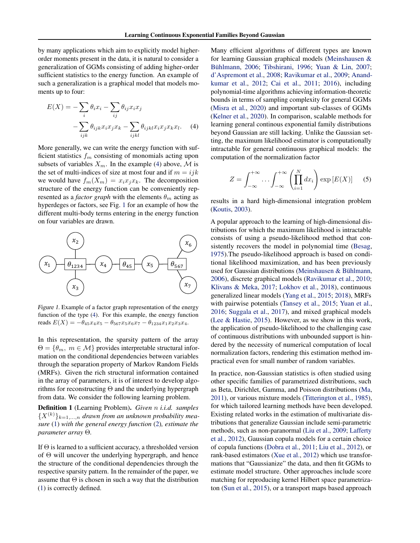<span id="page-1-0"></span>by many applications which aim to explicitly model higherorder moments present in the data, it is natural to consider a generalization of GGMs consisting of adding higher-order sufficient statistics to the energy function. An example of such a generalization is a graphical model that models moments up to four:

$$
E(X) = -\sum_{i} \theta_{i} x_{i} - \sum_{ij} \theta_{ij} x_{i} x_{j}
$$

$$
-\sum_{ijk} \theta_{ijk} x_{i} x_{j} x_{k} - \sum_{ijkl} \theta_{ijkl} x_{i} x_{j} x_{k} x_{l}. \tag{4}
$$

More generally, we can write the energy function with sufficient statistics  $f_m$  consisting of monomials acting upon subsets of variables  $X_m$ . In the example (4) above, M is the set of multi-indices of size at most four and if  $m = ijk$ we would have  $f_m(X_m) = x_i x_i x_k$ . The decomposition structure of the energy function can be conveniently represented as a *factor graph* with the elements  $\theta_m$  acting as hyperdeges or factors, see Fig. 1 for an example of how the different multi-body terms entering in the energy function on four variables are drawn.



Figure 1. Example of a factor graph representation of the energy function of the type (4). For this example, the energy function reads  $E(X) = -\theta_{45}x_4x_5 - \theta_{567}x_5x_6x_7 - \theta_{1234}x_1x_2x_3x_4.$ 

In this representation, the sparsity pattern of the array  $\Theta = {\theta_m, m \in \mathcal{M}}$  provides interpretable structural information on the conditional dependencies between variables through the separation property of Markov Random Fields (MRFs). Given the rich structural information contained in the array of parameters, it is of interest to develop algorithms for reconstructing  $\Theta$  and the underlying hypergraph from data. We consider the following learning problem.

Definition 1 (Learning Problem). *Given* n *i.i.d. samples*  ${X^{(k)}}_{k=1,...,n}$  *drawn from an unknown probability measure* [\(1\)](#page-0-0) *with the general energy function* [\(2\)](#page-0-0)*, estimate the parameter array* Θ*.*

If  $\Theta$  is learned to a sufficient accuracy, a thresholded version of Θ will uncover the underlying hypergraph, and hence the structure of the conditional dependencies through the respective sparsity pattern. In the remainder of the paper, we assume that  $\Theta$  is chosen in such a way that the distribution [\(1\)](#page-0-0) is correctly defined.

Many efficient algorithms of different types are known for learning Gaussian graphical models [\(Meinshausen &](#page-9-0) Bühlmann, [2006;](#page-9-0) [Tibshirani,](#page-9-0) [1996;](#page-9-0) [Yuan & Lin,](#page-10-0) [2007;](#page-10-0) [d'Aspremont et al.,](#page-8-0) [2008;](#page-8-0) [Ravikumar et al.,](#page-9-0) [2009;](#page-9-0) [Anand](#page-8-0)[kumar et al.,](#page-8-0) [2012;](#page-8-0) [Cai et al.,](#page-8-0) [2011;](#page-8-0) [2016\)](#page-8-0), including polynomial-time algorithms achieving information-theoretic bounds in terms of sampling complexity for general GGMs [\(Misra et al.,](#page-9-0) [2020\)](#page-9-0) and important sub-classes of GGMs [\(Kelner et al.,](#page-8-0) [2020\)](#page-8-0). In comparison, scalable methods for learning general continous exponential family distributions beyond Gaussian are still lacking. Unlike the Gaussian setting, the maximum likelihood estimator is computationally intractable for general continuous graphical models: the computation of the normalization factor

$$
Z = \int_{-\infty}^{+\infty} \dots \int_{-\infty}^{+\infty} \left( \prod_{i=1}^{N} dx_i \right) \exp\left[E(X)\right] \quad (5)
$$

results in a hard high-dimensional integration problem [\(Koutis,](#page-8-0) [2003\)](#page-8-0).

A popular approach to the learning of high-dimensional distributions for which the maximum likelihood is intractable consists of using a pseudo-likelihood method that consistently recovers the model in polynomial time [\(Besag,](#page-8-0) [1975\)](#page-8-0).The pseudo-likelihood approach is based on conditional likelihood maximization, and has been previously used for Gaussian distributions (Meinshausen & Bühlmann, [2006\)](#page-9-0), discrete graphical models [\(Ravikumar et al.,](#page-9-0) [2010;](#page-9-0) [Klivans & Meka,](#page-8-0) [2017;](#page-8-0) [Lokhov et al.,](#page-9-0) [2018\)](#page-9-0), continuous generalized linear models [\(Yang et al.,](#page-9-0) [2015;](#page-9-0) [2018\)](#page-9-0), MRFs with pairwise potentials [\(Tansey et al.,](#page-9-0) [2015;](#page-9-0) [Yuan et al.,](#page-10-0) [2016;](#page-10-0) [Suggala et al.,](#page-9-0) [2017\)](#page-9-0), and mixed graphical models [\(Lee & Hastie,](#page-8-0) [2015\)](#page-8-0). However, as we show in this work, the application of pseudo-likelihood to the challenging case of continuous distributions with unbounded support is hindered by the necessity of numerical computation of local normalization factors, rendering this estimation method impractical even for small number of random variables.

In practice, non-Gaussian statistics is often studied using other specific families of parametrized distributions, such as Beta, Dirichlet, Gamma, and Poisson distributions [\(Ma,](#page-9-0) [2011\)](#page-9-0), or various mixture models [\(Titterington et al.,](#page-9-0) [1985\)](#page-9-0), for which tailored learning methods have been developed. Existing related works in the estimation of multivariate distributions that generalize Gaussian include semi-parametric methods, such as non-paranormal [\(Liu et al.,](#page-9-0) [2009;](#page-9-0) [Lafferty](#page-8-0) [et al.,](#page-8-0) [2012\)](#page-8-0), Gaussian copula models for a certain choice of copula functions [\(Dobra et al.,](#page-8-0) [2011;](#page-8-0) [Liu et al.,](#page-9-0) [2012\)](#page-9-0), or rank-based estimators [\(Xue et al.,](#page-9-0) [2012\)](#page-9-0) which use transformations that "Gaussianize" the data, and then fit GGMs to estimate model structure. Other approaches include score matching for reproducing kernel Hilbert space parametrizaton [\(Sun et al.,](#page-9-0) [2015\)](#page-9-0), or a transport maps based approach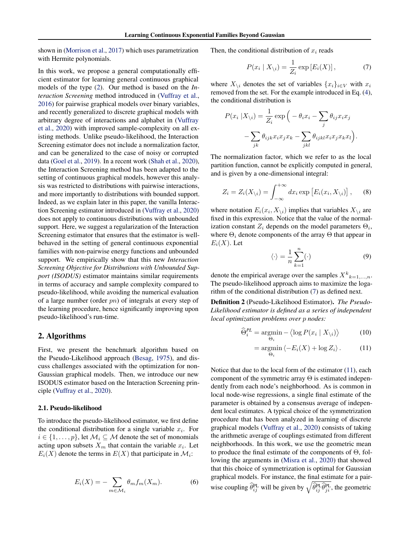<span id="page-2-0"></span>shown in [\(Morrison et al.,](#page-9-0) [2017\)](#page-9-0) which uses parametrization with Hermite polynomials.

In this work, we propose a general computationally efficient estimator for learning general continuous graphical models of the type [\(2\)](#page-0-0). Our method is based on the *Interaction Screening* method introduced in [\(Vuffray et al.,](#page-9-0) [2016\)](#page-9-0) for pairwise graphical models over binary variables, and recently generalized to discrete graphical models with arbitrary degree of interactions and alphabet in [\(Vuffray](#page-9-0) [et al.,](#page-9-0) [2020\)](#page-9-0) with improved sample-complexity on all existing methods. Unlike pseudo-likelihood, the Interaction Screening estimator does not include a normalization factor, and can be generalized to the case of noisy or corrupted data [\(Goel et al.,](#page-8-0) [2019\)](#page-8-0). In a recent work [\(Shah et al.,](#page-9-0) [2020\)](#page-9-0), the Interaction Screening method has been adapted to the setting of continuous graphical models, however this analysis was restricted to distributions with pairwise interactions, and more importantly to distributions with bounded support. Indeed, as we explain later in this paper, the vanilla Interaction Screening estimator introduced in [\(Vuffray et al.,](#page-9-0) [2020\)](#page-9-0) does not apply to continuous distributions with unbounded support. Here, we suggest a regularization of the Interaction Screening estimator that ensures that the estimator is wellbehaved in the setting of general continuous exponential families with non-pairwise energy functions and unbounded support. We empirically show that this new *Interaction Screening Objective for Distributions with Unbounded Support (ISODUS)* estimator maintains similar requirements in terms of accuracy and sample complexity compared to pseudo-likelihood, while avoiding the numerical evaluation of a large number (order  $pn$ ) of integrals at every step of the learning procedure, hence significantly improving upon pseudo-likelihood's run-time.

#### 2. Algorithms

First, we present the benchmark algorithm based on the Pseudo-Likelihood approach [\(Besag,](#page-8-0) [1975\)](#page-8-0), and discuss challenges associated with the optimization for non-Gaussian graphical models. Then, we introduce our new ISODUS estimator based on the Interaction Screening principle [\(Vuffray et al.,](#page-9-0) [2020\)](#page-9-0).

#### 2.1. Pseudo-likelihood

To introduce the pseudo-likelihood estimator, we first define the conditional distribution for a single variable  $x_i$ . For  $i \in \{1, \ldots, p\}$ , let  $\mathcal{M}_i \subseteq \mathcal{M}$  denote the set of monomials acting upon subsets  $X_m$  that contain the variable  $x_i$ . Let  $E_i(X)$  denote the terms in  $E(X)$  that participate in  $\mathcal{M}_i$ :

$$
E_i(X) = -\sum_{m \in \mathcal{M}_i} \theta_m f_m(X_m). \tag{6}
$$

Then, the conditional distribution of  $x_i$  reads

$$
P(x_i | X_{\backslash i}) = \frac{1}{Z_i} \exp\left[E_i(X)\right],\tag{7}
$$

where  $X_{\setminus i}$  denotes the set of variables  $\{x_i\}_{i\in V}$  with  $x_i$ removed from the set. For the example introduced in Eq. [\(4\)](#page-1-0), the conditional distribution is

$$
P(x_i | X_{\backslash i}) = \frac{1}{Z_i} \exp\Big(-\theta_i x_i - \sum_j \theta_{ij} x_i x_j - \sum_{jk} \theta_{ijk} x_i x_j x_k - \sum_{jkl} \theta_{ijkl} x_i x_j x_k x_l\Big).
$$

The normalization factor, which we refer to as the local partition function, cannot be explicitly computed in general, and is given by a one-dimensional integral:

$$
Z_i = Z_i(X_{\backslash i}) = \int_{-\infty}^{+\infty} dx_i \exp\left[E_i(x_i, X_{\backslash i})\right], \quad (8)
$$

where notation  $E_i(x_i, X_{\setminus i})$  implies that variables  $X_{\setminus i}$  are fixed in this expression. Notice that the value of the normalization constant  $Z_i$  depends on the model parameters  $\Theta_i$ , where  $\Theta_i$  denote components of the array  $\Theta$  that appear in  $E_i(X)$ . Let

$$
\langle \cdot \rangle = \frac{1}{n} \sum_{k=1}^{n} (\cdot) \tag{9}
$$

denote the empirical average over the samples  $X^k{}_{k=1,\dots,n}$ . The pseudo-likelihood approach aims to maximize the logarithm of the conditional distribution (7) as defined next.

Definition 2 (Pseudo-Likelihood Estimator). *The Pseudo-Likelihood estimator is defined as a series of independent local optimization problems over* p *nodes:*

$$
\widehat{\Theta}_i^{PL} = \underset{\Theta_i}{\text{argmin}} - \left\langle \log P(x_i \mid X_{\backslash i}) \right\rangle \tag{10}
$$

$$
= \underset{\Theta_i}{\operatorname{argmin}} \left\langle -E_i(X) + \log Z_i \right\rangle. \tag{11}
$$

Notice that due to the local form of the estimator (11), each component of the symmetric array  $\Theta$  is estimated independently from each node's neighborhood. As is common in local node-wise regressions, a single final estimate of the parameter is obtained by a consensus average of independent local estimates. A typical choice of the symmetrization procedure that has been analyzed in learning of discrete graphical models [\(Vuffray et al.,](#page-9-0) [2020\)](#page-9-0) consists of taking the arithmetic average of couplings estimated from different neighborhoods. In this work, we use the geometric mean to produce the final estimate of the components of  $\Theta$ , following the arguments in [\(Misra et al.,](#page-9-0) [2020\)](#page-9-0) that showed that this choice of symmetrization is optimal for Gaussian graphical models. For instance, the final estimate for a pairwise coupling  $\hat{\theta}_{ij}^{\text{PL}}$  will be given by  $\sqrt{\hat{\theta}_{ij}^{\text{PL}} \hat{\theta}_{ji}^{\text{PL}}}$ , the geometric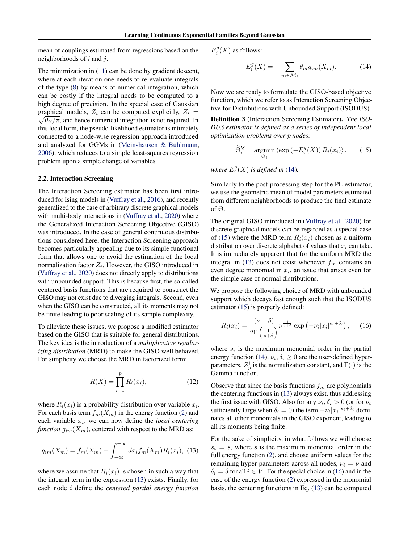<span id="page-3-0"></span>mean of couplings estimated from regressions based on the neighborhoods of  $i$  and  $j$ .

The minimization in [\(11\)](#page-2-0) can be done by gradient descent, where at each iteration one needs to re-evaluate integrals of the type [\(8\)](#page-2-0) by means of numerical integration, which can be costly if the integral needs to be computed to a high degree of precision. In the special case of Gaussian graphical models,  $Z_i$  can be computed explicitly,  $Z_i$  =  $\sqrt{\theta_{ii}/\pi}$ , and hence numerical integration is not required. In this local form, the pseudo-likelihood estimator is intimately connected to a node-wise regression approach introduced and analyzed for GGMs in (Meinshausen  $& B<sub>u</sub>$  Bühlmann, [2006\)](#page-9-0), which reduces to a simple least-squares regression problem upon a simple change of variables.

#### 2.2. Interaction Screening

The Interaction Screening estimator has been first introduced for Ising models in [\(Vuffray et al.,](#page-9-0) [2016\)](#page-9-0), and recently generalized to the case of arbitrary discrete graphical models with multi-body interactions in [\(Vuffray et al.,](#page-9-0) [2020\)](#page-9-0) where the Generalized Interaction Screening Objective (GISO) was introduced. In the case of general continuous distributions considered here, the Interaction Screening approach becomes particularly appealing due to its simple functional form that allows one to avoid the estimation of the local normalization factor  $Z_i$ . However, the GISO introduced in [\(Vuffray et al.,](#page-9-0) [2020\)](#page-9-0) does not directly apply to distributions with unbounded support. This is because first, the so-called centered basis functions that are required to construct the GISO may not exist due to diverging integrals. Second, even when the GISO can be constructed, all its moments may not be finite leading to poor scaling of its sample complexity.

To alleviate these issues, we propose a modified estimator based on the GISO that is suitable for general distributions. The key idea is the introduction of a *multiplicative regularizing distribution* (MRD) to make the GISO well behaved. For simplicity we choose the MRD in factorized form:

$$
R(X) = \prod_{i=1}^{p} R_i(x_i),
$$
 (12)

where  $R_i(x_i)$  is a probability distribution over variable  $x_i$ . For each basis term  $f_m(X_m)$  in the energy function [\(2\)](#page-0-0) and each variable  $x_i$ , we can now define the *local centering function*  $g_{im}(X_m)$ , centered with respect to the MRD as:

$$
g_{im}(X_m) = f_m(X_m) - \int_{-\infty}^{+\infty} dx_i f_m(X_m) R_i(x_i), \tag{13}
$$

where we assume that  $R_i(x_i)$  is chosen in such a way that the integral term in the expression (13) exists. Finally, for each node i define the *centered partial energy function*  $E_i^g(X)$  as follows:

$$
E_i^g(X) = -\sum_{m \in \mathcal{M}_i} \theta_m g_{im}(X_m). \tag{14}
$$

Now we are ready to formulate the GISO-based objective function, which we refer to as Interaction Screening Objective for Distributions with Unbounded Support (ISODUS).

Definition 3 (Interaction Screening Estimator). *The ISO-DUS estimator is defined as a series of independent local optimization problems over* p *nodes:*

$$
\widehat{\Theta}_{i}^{IS} = \underset{\Theta_{i}}{\operatorname{argmin}} \left\langle \exp\left(-E_{i}^{g}(X)\right) R_{i}(x_{i}) \right\rangle, \qquad (15)
$$

where  $E_i^g(X)$  is defined in (14).

Similarly to the post-processing step for the PL estimator, we use the geometric mean of model parameters estimated from different neighborhoods to produce the final estimate of Θ.

The original GISO introduced in [\(Vuffray et al.,](#page-9-0) [2020\)](#page-9-0) for discrete graphical models can be regarded as a special case of (15) where the MRD term  $R_i(x_i)$  chosen as a uniform distribution over discrete alphabet of values that  $x_i$  can take. It is immediately apparent that for the uniform MRD the integral in (13) does not exist whenever  $f_m$  contains an even degree monomial in  $x_i$ , an issue that arises even for the simple case of normal distributions.

We propose the following choice of MRD with unbounded support which decays fast enough such that the ISODUS estimator (15) is properly defined:

$$
R_i(x_i) = \frac{(s+\delta)}{2\Gamma\left(\frac{1}{s+\delta}\right)}\nu^{\frac{1}{s+\delta}}\exp\left(-\nu_i|x_i|^{s_i+\delta_i}\right),\quad(16)
$$

where  $s_i$  is the maximum monomial order in the partial energy function (14),  $\nu_i, \delta_i \geq 0$  are the user-defined hyperparameters,  $Z_p^i$  is the normalization constant, and  $\Gamma(\cdot)$  is the Gamma function.

Observe that since the basis functions  $f_m$  are polynomials the centering functions in (13) always exist, thus addressing the first issue with GISO. Also for any  $\nu_i, \delta_i > 0$  (or for  $\nu_i$ sufficiently large when  $\delta_i = 0$ ) the term  $-\nu_i |x_i|^{s_i + \delta_i}$  dominates all other monomials in the GISO exponent, leading to all its moments being finite.

For the sake of simplicity, in what follows we will choose  $s_i = s$ , where s is the maximum monomial order in the full energy function [\(2\)](#page-0-0), and choose uniform values for the remaining hyper-parameters across all nodes,  $\nu_i = \nu$  and  $\delta_i = \delta$  for all  $i \in V$ . For the special choice in (16) and in the case of the energy function [\(2\)](#page-0-0) expressed in the monomial basis, the centering functions in Eq. (13) can be computed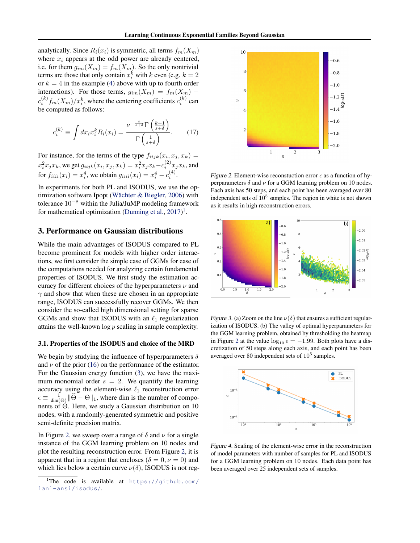<span id="page-4-0"></span>analytically. Since  $R_i(x_i)$  is symmetric, all terms  $f_m(X_m)$ where  $x_i$  appears at the odd power are already centered, i.e. for them  $g_{im}(X_m) = f_m(X_m)$ . So the only nontrivial terms are those that only contain  $x_i^k$  with k even (e.g.  $k = 2$ ) or  $k = 4$  in the example [\(4\)](#page-1-0) above with up to fourth order interactions). For those terms,  $g_{im}(X_m) = f_m(X_m)$  –  $c_i^{(k)} f_m(X_m)/x_i^k$ , where the centering coefficients  $c_i^{(k)}$  can be computed as follows:

$$
c_i^{(k)} \equiv \int dx_i x_i^k R_i(x_i) = \frac{\nu^{-\frac{k}{s+\delta}} \Gamma\left(\frac{k+1}{s+\delta}\right)}{\Gamma\left(\frac{1}{s+\delta}\right)}.
$$
 (17)

For instance, for the terms of the type  $f_{iijk}(x_i, x_j, x_k) =$  $x_i^2 x_j x_k$ , we get  $g_{iijk}(x_i, x_j, x_k) = x_i^2 x_j x_k - c_i^{(2)} x_j x_k$ , and for  $f_{iiii}(x_i) = x_i^4$ , we obtain  $g_{iiii}(x_i) = x_i^4 - c_i^{(4)}$ .

In experiments for both PL and ISODUS, we use the optimization software Ipopt (Wächter  $\&$  Biegler, [2006\)](#page-9-0) with tolerance 10<sup>−</sup><sup>8</sup> within the Julia/JuMP modeling framework for mathematical optimization [\(Dunning et al.,](#page-8-0)  $2017$ )<sup>1</sup>.

#### 3. Performance on Gaussian distributions

While the main advantages of ISODUS compared to PL become prominent for models with higher order interactions, we first consider the simple case of GGMs for ease of the computations needed for analyzing certain fundamental properties of ISODUS. We first study the estimation accuracy for different choices of the hyperparameters  $\nu$  and  $\gamma$  and show that when these are chosen in an appropriate range, ISODUS can successfully recover GGMs. We then consider the so-called high dimensional setting for sparse GGMs and show that ISODUS with an  $\ell_1$  regularization attains the well-known  $\log p$  scaling in sample complexity.

#### 3.1. Properties of the ISODUS and choice of the MRD

We begin by studying the influence of hyperparameters  $\delta$ and  $\nu$  of the prior [\(16\)](#page-3-0) on the performance of the estimator. For the Gaussian energy function [\(3\)](#page-0-0), we have the maximum monomial order  $s = 2$ . We quantify the learning accuracy using the element-wise  $\ell_1$  reconstruction error  $\epsilon \equiv \frac{1}{\text{dim}(\Theta)} ||\widehat{\Theta} - \Theta||_1$ , where dim is the number of components of Θ. Here, we study a Gaussian distribution on 10 nodes, with a randomly-generated symmetric and positive semi-definite precision matrix.

In Figure 2, we sweep over a range of  $\delta$  and  $\nu$  for a single instance of the GGM learning problem on 10 nodes and plot the resulting reconstruction error. From Figure 2, it is apparent that in a region that encloses ( $\delta = 0, \nu = 0$ ) and which lies below a certain curve  $\nu(\delta)$ , ISODUS is not reg-



Figure 2. Element-wise reconstuction error  $\epsilon$  as a function of hyperparameters  $\delta$  and  $\nu$  for a GGM learning problem on 10 nodes. Each axis has 50 steps, and each point has been averaged over 80 independent sets of  $10^5$  samples. The region in white is not shown as it results in high reconstruction errors.



Figure 3. (a) Zoom on the line  $\nu(\delta)$  that ensures a sufficient regularization of ISODUS. (b) The valley of optimal hyperparameters for the GGM learning problem, obtained by thresholding the heatmap in Figure 2 at the value  $\log_{10} \epsilon = -1.99$ . Both plots have a discretization of 50 steps along each axis, and each point has been averaged over 80 independent sets of  $10^5$  samples.



Figure 4. Scaling of the element-wise error in the reconstruction of model parameters with number of samples for PL and ISODUS for a GGM learning problem on 10 nodes. Each data point has been averaged over 25 independent sets of samples.

<sup>&</sup>lt;sup>1</sup>The code is available at  $https://github.com/$ [lanl-ansi/isodus/](https://github.com/lanl-ansi/isodus/).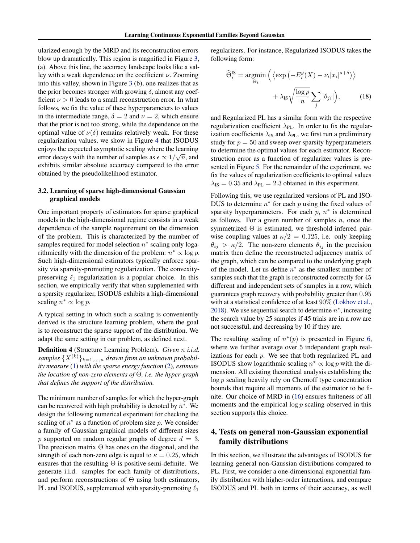ularized enough by the MRD and its reconstruction errors blow up dramatically. This region is magnified in Figure [3,](#page-4-0) (a). Above this line, the accuracy landscape looks like a valley with a weak dependence on the coefficient  $\nu$ . Zooming into this valley, shown in Figure [3](#page-4-0) (b), one realizes that as the prior becomes stronger with growing  $\delta$ , almost any coefficient  $\nu > 0$  leads to a small reconstruction error. In what follows, we fix the value of these hyperparameters to values in the intermediate range,  $\delta = 2$  and  $\nu = 2$ , which ensure that the prior is not too strong, while the dependence on the optimal value of  $\nu(\delta)$  remains relatively weak. For these regularization values, we show in Figure [4](#page-4-0) that ISODUS enjoys the expected asymptotic scaling where the learning error decays with the number of samples as  $\epsilon \propto 1/\sqrt{n}$ , and exhibits similar absolute accuracy compared to the error obtained by the pseudolikelihood estimator.

#### 3.2. Learning of sparse high-dimensional Gaussian graphical models

One important property of estimators for sparse graphical models in the high-dimensional regime consists in a weak dependence of the sample requirement on the dimension of the problem. This is characterized by the number of samples required for model selection  $n^*$  scaling only logarithmically with the dimension of the problem:  $n^* \propto \log p$ . Such high-dimensional estimators typically enforce sparsity via sparsity-promoting regularization. The convexitypreserving  $\ell_1$  regularization is a popular choice. In this section, we empirically verify that when supplemented with a sparsity regularizer, ISODUS exhibits a high-dimensional scaling  $n^* \propto \log p$ .

A typical setting in which such a scaling is conveniently derived is the structure learning problem, where the goal is to reconstruct the sparse support of the distribution. We adapt the same setting in our problem, as defined next.

Definition 4 (Structure Learning Problem). *Given* n *i.i.d.* samples  $\{X^{(k)}\}_{k=1,\dots,n}$  *drawn from an unknown probability measure* [\(1\)](#page-0-0) *with the sparse energy function* [\(2\)](#page-0-0)*, estimate the location of non-zero elements of* Θ*, i.e. the hyper-graph that defines the support of the distribution.*

The minimum number of samples for which the hyper-graph can be recovered with high probability is denoted by  $n^*$ . We design the following numerical experiment for checking the scaling of  $n^*$  as a function of problem size  $p$ . We consider a family of Gaussian graphical models of different sizes p supported on random regular graphs of degree  $d = 3$ . The precision matrix  $\Theta$  has ones on the diagonal, and the strength of each non-zero edge is equal to  $\kappa = 0.25$ , which ensures that the resulting  $\Theta$  is positive semi-definite. We generate i.i.d. samples for each family of distributions, and perform reconstructions of  $\Theta$  using both estimators, PL and ISODUS, supplemented with sparsity-promoting  $\ell_1$ 

regularizers. For instance, Regularized ISODUS takes the following form:

$$
\widehat{\Theta}_{i}^{\text{IS}} = \underset{\Theta_{i}}{\text{argmin}} \left( \left\langle \exp \left( -E_{i}^{g}(X) - \nu_{i} |x_{i}|^{s+\delta} \right) \right\rangle + \lambda_{\text{IS}} \sqrt{\frac{\log p}{n}} \sum_{j} |\theta_{ji}| \right), \tag{18}
$$

and Regularized PL has a similar form with the respective regularization coefficient  $\lambda_{PL}$ . In order to fix the regularization coefficients  $\lambda_{IS}$  and  $\lambda_{PL}$ , we first run a preliminary study for  $p = 50$  and sweep over sparsity hyperparameters to determine the optimal values for each estimator. Reconstruction error as a function of regularizer values is presented in Figure [5.](#page-6-0) For the remainder of the experiment, we fix the values of regularization coefficients to optimal values  $\lambda_{\text{IS}} = 0.35$  and  $\lambda_{\text{PL}} = 2.3$  obtained in this experiment.

Following this, we use regularized versions of PL and ISO-DUS to determine  $n^*$  for each  $p$  using the fixed values of sparsity hyperparameters. For each  $p$ ,  $n^*$  is determined as follows. For a given number of samples  $n$ , once the symmetrized  $\Theta$  is estimated, we threshold inferred pairwise coupling values at  $\kappa/2 = 0.125$ , i.e. only keeping  $\theta_{ij} > \kappa/2$ . The non-zero elements  $\theta_{ij}$  in the precision matrix then define the reconstructed adjacency matrix of the graph, which can be compared to the underlying graph of the model. Let us define  $n^*$  as the smallest number of samples such that the graph is reconstructed correctly for 45 different and independent sets of samples in a row, which guarantees graph recovery with probability greater than 0.95 with at a statistical confidence of at least 90% [\(Lokhov et al.,](#page-9-0) [2018\)](#page-9-0). We use sequential search to determine  $n^*$ , increasing the search value by 25 samples if 45 trials are in a row are not successful, and decreasing by 10 if they are.

The resulting scaling of  $n^*(p)$  is presented in Figure [6,](#page-6-0) where we further average over 5 independent graph realizations for each  $p$ . We see that both regularized PL and ISODUS show logarithmic scaling  $n^* \propto \log p$  with the dimension. All existing theoretical analysis establishing the  $\log p$  scaling heavily rely on Chernoff type concentration bounds that require all moments of the estimator to be finite. Our choice of MRD in [\(16\)](#page-3-0) ensures finiteness of all moments and the empirical  $\log p$  scaling observed in this section supports this choice.

# 4. Tests on general non-Gaussian exponential family distributions

In this section, we illustrate the advantages of ISODUS for learning general non-Gaussian distributions compared to PL. First, we consider a one-dimensional exponential family distribution with higher-order interactions, and compare ISODUS and PL both in terms of their accuracy, as well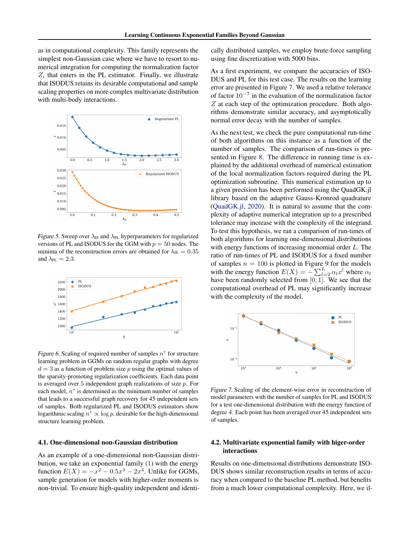<span id="page-6-0"></span>as in computational complexity. This family represents the simplest non-Gaussian case where we have to resort to numerical integration for computing the normalization factor  $Z_i$  that enters in the PL estimator. Finally, we illustrate that ISODUS retains its desirable computational and sample scaling properties on more complex multivariate distribution with multi-body interactions.



Figure 5. Sweep over  $\lambda_{IS}$  and  $\lambda_{PL}$  hyperparameters for regularized versions of PL and ISODUS for the GGM with  $p = 50$  nodes. The minima of the reconstruction errors are obtained for  $\lambda_{IS} = 0.35$ and  $\lambda_{PL} = 2.3$ .



Figure 6. Scaling of required number of samples  $n^*$  for structure learning problem in GGMs on random regular graphs with degree  $d = 3$  as a function of problem size p using the optimal values of the sparsity-promoting regularization coefficients. Each data point is averaged over 5 independent graph realizations of size  $p$ . For each model,  $n^*$  is determined as the minimum number of samples that leads to a successful graph recovery for 45 independent sets of samples. Both regularized PL and ISODUS estimators show logarithmic scaling  $n^* \propto \log p$ , desirable for the high-dimensional structure learning problem.

#### 4.1. One-dimensional non-Gaussian distribution

As an example of a one-dimensional non-Gaussian distribution, we take an exponential family [\(1\)](#page-0-0) with the energy function  $E(X) = -x^2 - 0.5x^3 - 2x^4$ . Unlike for GGMs, sample generation for models with higher-order moments is non-trivial. To ensure high-quality independent and identically distributed samples, we employ brute-force sampling using fine discretization with 5000 bins.

As a first experiment, we compare the accuracies of ISO-DUS and PL for this test case. The results on the learning error are presented in Figure 7. We used a relative tolerance of factor 10−<sup>7</sup> in the evaluation of the normalization factor Z at each step of the optimization procedure. Both algorithms demonstrate similar accuracy, and asymptotically normal error decay with the number of samples.

As the next test, we check the pure computational run-time of both algorithms on this instance as a function of the number of samples. The comparison of run-times is presented in Figure [8.](#page-7-0) The difference in running time is explained by the additional overhead of numerical estimation of the local normalization factors required during the PL optimization subroutine. This numerical estimation up to a given precision has been performed using the QuadGK.jl library based on the adaptive Gauss-Kronrod quadrature [\(QuadGK.jl,](#page-9-0) [2020\)](#page-9-0). It is natural to assume that the complexity of adaptive numerical integration up to a prescribed tolerance may increase with the complexity of the integrand. To test this hypothesis, we ran a comparison of run-times of both algorithms for learning one-dimensional distributions with energy functions of increasing monomial order L. The ratio of run-times of PL and ISODUS for a fixed number of samples  $n = 100$  is plotted in Figure [9](#page-7-0) for the models with the energy function  $E(X) = -\sum_{l=2}^{L} \alpha_l x^l$  where  $\alpha_l$ have been randomly selected from  $[0, 1]$ . We see that the computational overhead of PL may significantly increase with the complexity of the model.



Figure 7. Scaling of the element-wise error in reconstruction of model parameters with the number of samples for PL and ISODUS for a test one-dimensional distribution with the energy function of degree 4. Each point has been averaged over 45 independent sets of samples.

## 4.2. Multivariate exponential family with higer-order interactions

Results on one-dimensional distributions demonstrate ISO-DUS shows similar reconstruction results in terms of accuracy when compared to the baseline PL method, but benefits from a much lower computational complexity. Here, we il-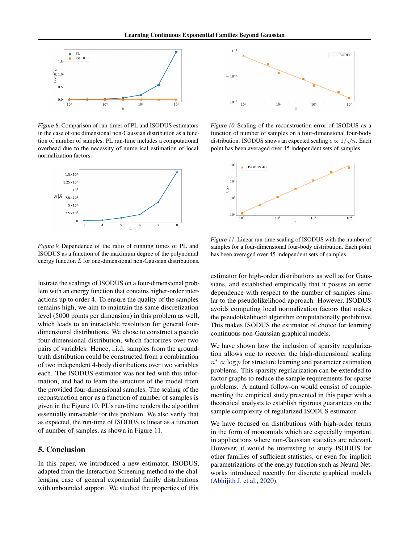<span id="page-7-0"></span>

Figure 8. Comparison of run-times of PL and ISODUS estimators in the case of one dimensional non-Gaussian distribution as a function of number of samples. PL run-time includes a computational overhead due to the necessity of numerical estimation of local normalization factors.



Figure 9. Dependence of the ratio of running times of PL and ISODUS as a function of the maximum degree of the polynomial energy function L for one-dimensional non-Gaussian distributions.

lustrate the scalings of ISODUS on a four-dimensional problem with an energy function that contains higher-order interactions up to order 4. To ensure the quality of the samples remains high, we aim to maintain the same discretization level (5000 points per dimension) in this problem as well, which leads to an intractable resolution for general fourdimensional distributions. We chose to construct a pseudo four-dimensional distribution, which factorizes over two pairs of variables. Hence, i.i.d. samples from the groundtruth distribution could be constructed from a combination of two independent 4-body distributions over two variables each. The ISODUS estimator was not fed with this information, and had to learn the structure of the model from the provided four-dimensional samples. The scaling of the reconstruction error as a function of number of samples is given in the Figure 10. PL's run-time renders the algorithm essentially intractable for this problem. We also verify that as expected, the run-time of ISODUS is linear as a function of number of samples, as shown in Figure 11.

# 5. Conclusion

In this paper, we introduced a new estimator, ISODUS, adapted from the Interaction Screening method to the challenging case of general exponential family distributions with unbounded support. We studied the properties of this



Figure 10. Scaling of the reconstruction error of ISODUS as a function of number of samples on a four-dimensional four-body distribution. ISODUS shows an expected scaling  $\epsilon \propto 1/\sqrt{n}$ . Each point has been averaged over 45 independent sets of samples.



Figure 11. Linear run-time scaling of ISODUS with the number of samples for a four-dimensional four-body distribution. Each point has been averaged over 45 independent sets of samples.

estimator for high-order distributions as well as for Gaussians, and established empirically that it posses an error dependence with respect to the number of samples similar to the pseudolikelihood approach. However, ISODUS avoids computing local normalization factors that makes the pseudolikelihood algorithm computationally prohibitive. This makes ISODUS the estimator of choice for learning continuous non-Gaussian graphical models.

We have shown how the inclusion of sparsity regularization allows one to recover the high-dimensional scaling  $n^* \propto \log p$  for structure learning and parameter estimation problems. This sparsity regularization can be extended to factor graphs to reduce the sample requirements for sparse problems. A natural follow-on would consist of complementing the empirical study presented in this paper with a theoretical analysis to establish rigorous guarantees on the sample complexity of regularized ISODUS estimator.

We have focused on distributions with high-order terms in the form of monomials which are especially important in applications where non-Gaussian statistics are relevant. However, it would be interesting to study ISODUS for other families of sufficient statistics, or even for implicit parametrizations of the energy function such as Neural Networks introduced recently for discrete graphical models [\(Abhijith J. et al.,](#page-8-0) [2020\)](#page-8-0).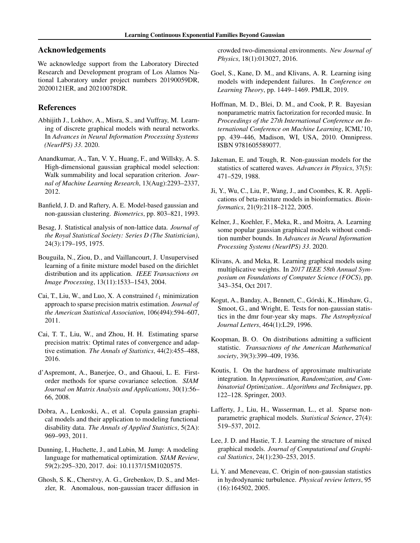# <span id="page-8-0"></span>Acknowledgements

We acknowledge support from the Laboratory Directed Research and Development program of Los Alamos National Laboratory under project numbers 20190059DR, 20200121ER, and 20210078DR.

# References

- Abhijith J., Lokhov, A., Misra, S., and Vuffray, M. Learning of discrete graphical models with neural networks. In *Advances in Neural Information Processing Systems (NeurIPS) 33*. 2020.
- Anandkumar, A., Tan, V. Y., Huang, F., and Willsky, A. S. High-dimensional gaussian graphical model selection: Walk summability and local separation criterion. *Journal of Machine Learning Research*, 13(Aug):2293–2337, 2012.
- Banfield, J. D. and Raftery, A. E. Model-based gaussian and non-gaussian clustering. *Biometrics*, pp. 803–821, 1993.
- Besag, J. Statistical analysis of non-lattice data. *Journal of the Royal Statistical Society: Series D (The Statistician)*, 24(3):179–195, 1975.
- Bouguila, N., Ziou, D., and Vaillancourt, J. Unsupervised learning of a finite mixture model based on the dirichlet distribution and its application. *IEEE Transactions on Image Processing*, 13(11):1533–1543, 2004.
- Cai, T., Liu, W., and Luo, X. A constrained  $\ell_1$  minimization approach to sparse precision matrix estimation. *Journal of the American Statistical Association*, 106(494):594–607, 2011.
- Cai, T. T., Liu, W., and Zhou, H. H. Estimating sparse precision matrix: Optimal rates of convergence and adaptive estimation. *The Annals of Statistics*, 44(2):455–488, 2016.
- d'Aspremont, A., Banerjee, O., and Ghaoui, L. E. Firstorder methods for sparse covariance selection. *SIAM Journal on Matrix Analysis and Applications*, 30(1):56– 66, 2008.
- Dobra, A., Lenkoski, A., et al. Copula gaussian graphical models and their application to modeling functional disability data. *The Annals of Applied Statistics*, 5(2A): 969–993, 2011.
- Dunning, I., Huchette, J., and Lubin, M. Jump: A modeling language for mathematical optimization. *SIAM Review*, 59(2):295–320, 2017. doi: 10.1137/15M1020575.
- Ghosh, S. K., Cherstvy, A. G., Grebenkov, D. S., and Metzler, R. Anomalous, non-gaussian tracer diffusion in

crowded two-dimensional environments. *New Journal of Physics*, 18(1):013027, 2016.

- Goel, S., Kane, D. M., and Klivans, A. R. Learning ising models with independent failures. In *Conference on Learning Theory*, pp. 1449–1469. PMLR, 2019.
- Hoffman, M. D., Blei, D. M., and Cook, P. R. Bayesian nonparametric matrix factorization for recorded music. In *Proceedings of the 27th International Conference on International Conference on Machine Learning*, ICML'10, pp. 439–446, Madison, WI, USA, 2010. Omnipress. ISBN 9781605589077.
- Jakeman, E. and Tough, R. Non-gaussian models for the statistics of scattered waves. *Advances in Physics*, 37(5): 471–529, 1988.
- Ji, Y., Wu, C., Liu, P., Wang, J., and Coombes, K. R. Applications of beta-mixture models in bioinformatics. *Bioinformatics*, 21(9):2118–2122, 2005.
- Kelner, J., Koehler, F., Meka, R., and Moitra, A. Learning some popular gaussian graphical models without condition number bounds. In *Advances in Neural Information Processing Systems (NeurIPS) 33*. 2020.
- Klivans, A. and Meka, R. Learning graphical models using multiplicative weights. In *2017 IEEE 58th Annual Symposium on Foundations of Computer Science (FOCS)*, pp. 343–354, Oct 2017.
- Kogut, A., Banday, A., Bennett, C., Górski, K., Hinshaw, G., Smoot, G., and Wright, E. Tests for non-gaussian statistics in the dmr four-year sky maps. *The Astrophysical Journal Letters*, 464(1):L29, 1996.
- Koopman, B. O. On distributions admitting a sufficient statistic. *Transactions of the American Mathematical society*, 39(3):399–409, 1936.
- Koutis, I. On the hardness of approximate multivariate integration. In *Approximation, Randomization, and Combinatorial Optimization.. Algorithms and Techniques*, pp. 122–128. Springer, 2003.
- Lafferty, J., Liu, H., Wasserman, L., et al. Sparse nonparametric graphical models. *Statistical Science*, 27(4): 519–537, 2012.
- Lee, J. D. and Hastie, T. J. Learning the structure of mixed graphical models. *Journal of Computational and Graphical Statistics*, 24(1):230–253, 2015.
- Li, Y. and Meneveau, C. Origin of non-gaussian statistics in hydrodynamic turbulence. *Physical review letters*, 95 (16):164502, 2005.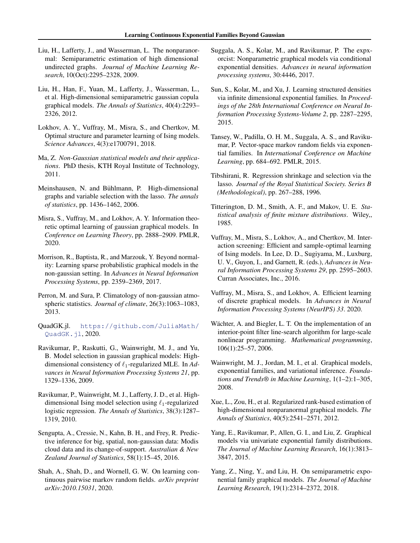- <span id="page-9-0"></span>Liu, H., Lafferty, J., and Wasserman, L. The nonparanormal: Semiparametric estimation of high dimensional undirected graphs. *Journal of Machine Learning Research*, 10(Oct):2295–2328, 2009.
- Liu, H., Han, F., Yuan, M., Lafferty, J., Wasserman, L., et al. High-dimensional semiparametric gaussian copula graphical models. *The Annals of Statistics*, 40(4):2293– 2326, 2012.
- Lokhov, A. Y., Vuffray, M., Misra, S., and Chertkov, M. Optimal structure and parameter learning of Ising models. *Science Advances*, 4(3):e1700791, 2018.
- Ma, Z. *Non-Gaussian statistical models and their applications*. PhD thesis, KTH Royal Institute of Technology, 2011.
- Meinshausen, N. and Bühlmann, P. High-dimensional graphs and variable selection with the lasso. *The annals of statistics*, pp. 1436–1462, 2006.
- Misra, S., Vuffray, M., and Lokhov, A. Y. Information theoretic optimal learning of gaussian graphical models. In *Conference on Learning Theory*, pp. 2888–2909. PMLR, 2020.
- Morrison, R., Baptista, R., and Marzouk, Y. Beyond normality: Learning sparse probabilistic graphical models in the non-gaussian setting. In *Advances in Neural Information Processing Systems*, pp. 2359–2369, 2017.
- Perron, M. and Sura, P. Climatology of non-gaussian atmospheric statistics. *Journal of climate*, 26(3):1063–1083, 2013.
- QuadGK.jl. [https://github.com/JuliaMath/](https://github.com/JuliaMath/QuadGK.jl) [QuadGK.jl](https://github.com/JuliaMath/QuadGK.jl), 2020.
- Ravikumar, P., Raskutti, G., Wainwright, M. J., and Yu, B. Model selection in gaussian graphical models: Highdimensional consistency of  $\ell_1$ -regularized MLE. In *Advances in Neural Information Processing Systems 21*, pp. 1329–1336, 2009.
- Ravikumar, P., Wainwright, M. J., Lafferty, J. D., et al. Highdimensional Ising model selection using  $\ell_1$ -regularized logistic regression. *The Annals of Statistics*, 38(3):1287– 1319, 2010.
- Sengupta, A., Cressie, N., Kahn, B. H., and Frey, R. Predictive inference for big, spatial, non-gaussian data: Modis cloud data and its change-of-support. *Australian & New Zealand Journal of Statistics*, 58(1):15–45, 2016.
- Shah, A., Shah, D., and Wornell, G. W. On learning continuous pairwise markov random fields. *arXiv preprint arXiv:2010.15031*, 2020.
- Suggala, A. S., Kolar, M., and Ravikumar, P. The expxorcist: Nonparametric graphical models via conditional exponential densities. *Advances in neural information processing systems*, 30:4446, 2017.
- Sun, S., Kolar, M., and Xu, J. Learning structured densities via infinite dimensional exponential families. In *Proceedings of the 28th International Conference on Neural Information Processing Systems-Volume 2*, pp. 2287–2295, 2015.
- Tansey, W., Padilla, O. H. M., Suggala, A. S., and Ravikumar, P. Vector-space markov random fields via exponential families. In *International Conference on Machine Learning*, pp. 684–692. PMLR, 2015.
- Tibshirani, R. Regression shrinkage and selection via the lasso. *Journal of the Royal Statistical Society. Series B (Methodological)*, pp. 267–288, 1996.
- Titterington, D. M., Smith, A. F., and Makov, U. E. *Statistical analysis of finite mixture distributions*. Wiley,, 1985.
- Vuffray, M., Misra, S., Lokhov, A., and Chertkov, M. Interaction screening: Efficient and sample-optimal learning of Ising models. In Lee, D. D., Sugiyama, M., Luxburg, U. V., Guyon, I., and Garnett, R. (eds.), *Advances in Neural Information Processing Systems 29*, pp. 2595–2603. Curran Associates, Inc., 2016.
- Vuffray, M., Misra, S., and Lokhov, A. Efficient learning of discrete graphical models. In *Advances in Neural Information Processing Systems (NeurIPS) 33*. 2020.
- Wächter, A. and Biegler, L. T. On the implementation of an interior-point filter line-search algorithm for large-scale nonlinear programming. *Mathematical programming*, 106(1):25–57, 2006.
- Wainwright, M. J., Jordan, M. I., et al. Graphical models, exponential families, and variational inference. *Foundations and Trends® in Machine Learning*, 1(1–2):1–305, 2008.
- Xue, L., Zou, H., et al. Regularized rank-based estimation of high-dimensional nonparanormal graphical models. *The Annals of Statistics*, 40(5):2541–2571, 2012.
- Yang, E., Ravikumar, P., Allen, G. I., and Liu, Z. Graphical models via univariate exponential family distributions. *The Journal of Machine Learning Research*, 16(1):3813– 3847, 2015.
- Yang, Z., Ning, Y., and Liu, H. On semiparametric exponential family graphical models. *The Journal of Machine Learning Research*, 19(1):2314–2372, 2018.